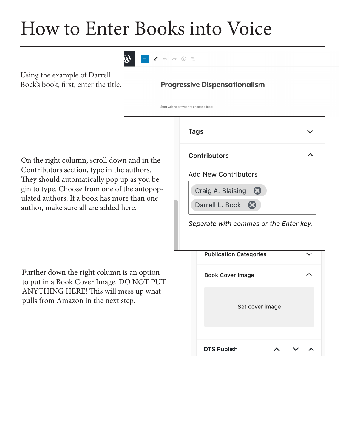## How to Enter Books into Voice

 $\widehat{\mathbf{W}}$  +  $\mathbf{Z}$   $\leftrightarrow$   $\odot$  =

Using the example of Darrell Bock's book, first, enter the title.

**Progressive Dispensationalism** 

Start writing or type / to choose a block

On the right column, scroll down and in the Contributors section, type in the authors. They should automatically pop up as you begin to type. Choose from one of the autopopulated authors. If a book has more than one author, make sure all are added here.

Further down the right column is an option to put in a Book Cover Image. DO NOT PUT ANYTHING HERE! This will mess up what pulls from Amazon in the next step.

| Tags                                              |                                        |  |  |  |  |  |  |  |
|---------------------------------------------------|----------------------------------------|--|--|--|--|--|--|--|
|                                                   | <b>Contributors</b>                    |  |  |  |  |  |  |  |
| <b>Add New Contributors</b>                       |                                        |  |  |  |  |  |  |  |
| Craig A. Blaising $\bigcirc$<br>Darrell L. Bock 8 |                                        |  |  |  |  |  |  |  |
|                                                   | Separate with commas or the Enter key. |  |  |  |  |  |  |  |
|                                                   |                                        |  |  |  |  |  |  |  |
|                                                   | <b>Publication Categories</b>          |  |  |  |  |  |  |  |
|                                                   | <b>Book Cover Image</b>                |  |  |  |  |  |  |  |
|                                                   | Set cover image                        |  |  |  |  |  |  |  |
|                                                   |                                        |  |  |  |  |  |  |  |
|                                                   | <b>DTS Publish</b>                     |  |  |  |  |  |  |  |